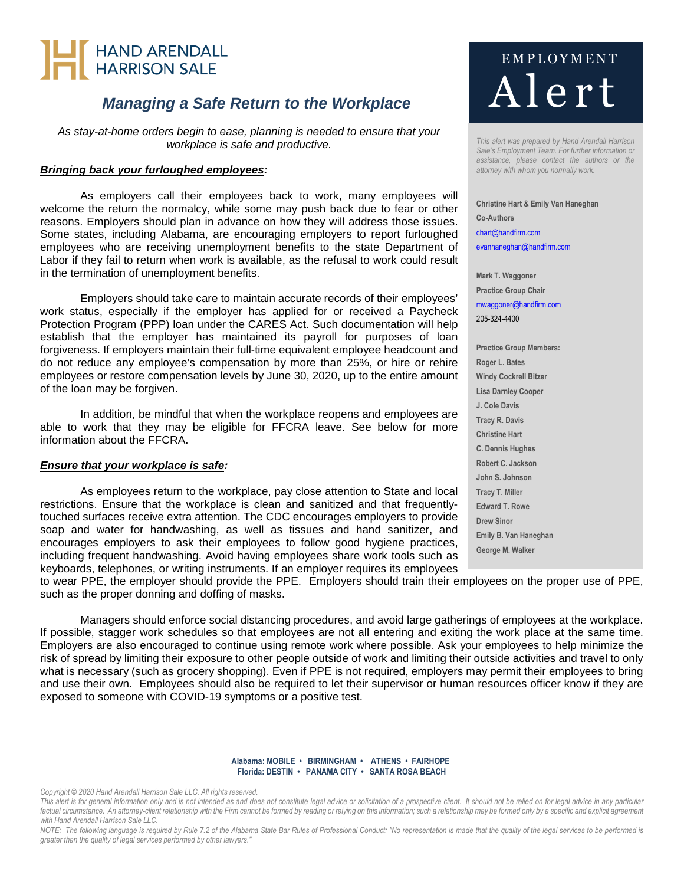# HAND ARENDALL<br>HARRISON SALE

### *Managing a Safe Return to the Workplace*

*As stay-at-home orders begin to ease, planning is needed to ensure that your workplace is safe and productive.* 

### *Bringing back your furloughed employees:*

As employers call their employees back to work, many employees will welcome the return the normalcy, while some may push back due to fear or other reasons. Employers should plan in advance on how they will address those issues. Some states, including Alabama, are encouraging employers to report furloughed employees who are receiving unemployment benefits to the state Department of Labor if they fail to return when work is available, as the refusal to work could result in the termination of unemployment benefits.

Employers should take care to maintain accurate records of their employees' work status, especially if the employer has applied for or received a Paycheck Protection Program (PPP) loan under the CARES Act. Such documentation will help establish that the employer has maintained its payroll for purposes of loan forgiveness. If employers maintain their full-time equivalent employee headcount and do not reduce any employee's compensation by more than 25%, or hire or rehire employees or restore compensation levels by June 30, 2020, up to the entire amount of the loan may be forgiven.

In addition, be mindful that when the workplace reopens and employees are able to work that they may be eligible for FFCRA leave. See below for more information about the FFCRA.

### *Ensure that your workplace is safe:*

As employees return to the workplace, pay close attention to State and local restrictions. Ensure that the workplace is clean and sanitized and that frequentlytouched surfaces receive extra attention. The CDC encourages employers to provide soap and water for handwashing, as well as tissues and hand sanitizer, and encourages employers to ask their employees to follow good hygiene practices, including frequent handwashing. Avoid having employees share work tools such as keyboards, telephones, or writing instruments. If an employer requires its employees

to wear PPE, the employer should provide the PPE. Employers should train their employees on the proper use of PPE, such as the proper donning and doffing of masks.

Managers should enforce social distancing procedures, and avoid large gatherings of employees at the workplace. If possible, stagger work schedules so that employees are not all entering and exiting the work place at the same time. Employers are also encouraged to continue using remote work where possible. Ask your employees to help minimize the risk of spread by limiting their exposure to other people outside of work and limiting their outside activities and travel to only what is necessary (such as grocery shopping). Even if PPE is not required, employers may permit their employees to bring and use their own. Employees should also be required to let their supervisor or human resources officer know if they are exposed to someone with COVID-19 symptoms or a positive test.

#### **Alabama: MOBILE • BIRMINGHAM • ATHENS • FAIRHOPE Florida: DESTIN • PANAMA CITY • SANTA ROSA BEACH**

*\_\_\_\_\_\_\_\_\_\_\_\_\_\_\_\_\_\_\_\_\_\_\_\_\_\_\_\_\_\_\_\_\_\_\_\_\_\_\_\_\_\_\_\_\_\_\_\_\_\_\_\_\_\_\_\_\_\_\_\_\_\_\_\_\_\_\_\_\_\_\_\_\_\_\_\_\_\_\_\_\_\_\_\_\_\_\_\_\_\_\_\_\_\_\_\_\_\_\_\_\_\_\_\_\_\_\_\_\_\_\_\_\_\_\_\_\_\_\_\_\_\_\_\_\_\_\_\_\_\_\_\_\_\_\_\_\_\_\_\_\_\_\_\_\_\_\_* 

*Copyright © 2020 Hand Arendall Harrison Sale LLC. All rights reserved.* 

This alert is for general information only and is not intended as and does not constitute legal advice or solicitation of a prospective client. It should not be relied on for legal advice in any particular factual circumstance. An attorney-client relationship with the Firm cannot be formed by reading or relying on this information; such a relationship may be formed only by a specific and explicit agreement *with Hand Arendall Harrison Sale LLC.* 

*NOTE: The following language is required by Rule 7.2 of the Alabama State Bar Rules of Professional Conduct: "No representation is made that the quality of the legal services to be performed is greater than the quality of legal services performed by other lawyers."* 

## E M P L O Y M E N T A lert

*This alert was prepared by Hand Arendall Harrison Sale's Employment Team. For further information or assistance, please contact the authors or the attorney with whom you normally work.* 

*\_\_\_\_\_\_\_\_\_\_\_\_\_\_\_\_\_\_\_\_\_\_\_\_\_\_\_\_\_\_\_\_\_\_\_\_\_\_\_\_\_* 

**Christine Hart & Emily Van Haneghan Co-Authors**  chart@handfirm.com evanhaneghan@handfirm.com

**Mark T. Waggoner Practice Group Chair** mwaggoner@handfirm.com 205-324-4400

**Practice Group Members: Roger L. Bates Windy Cockrell Bitzer Lisa Darnley Cooper J. Cole Davis Tracy R. Davis Christine Hart C. Dennis Hughes Robert C. Jackson John S. Johnson Tracy T. Miller Edward T. Rowe Drew Sinor Emily B. Van Haneghan George M. Walker**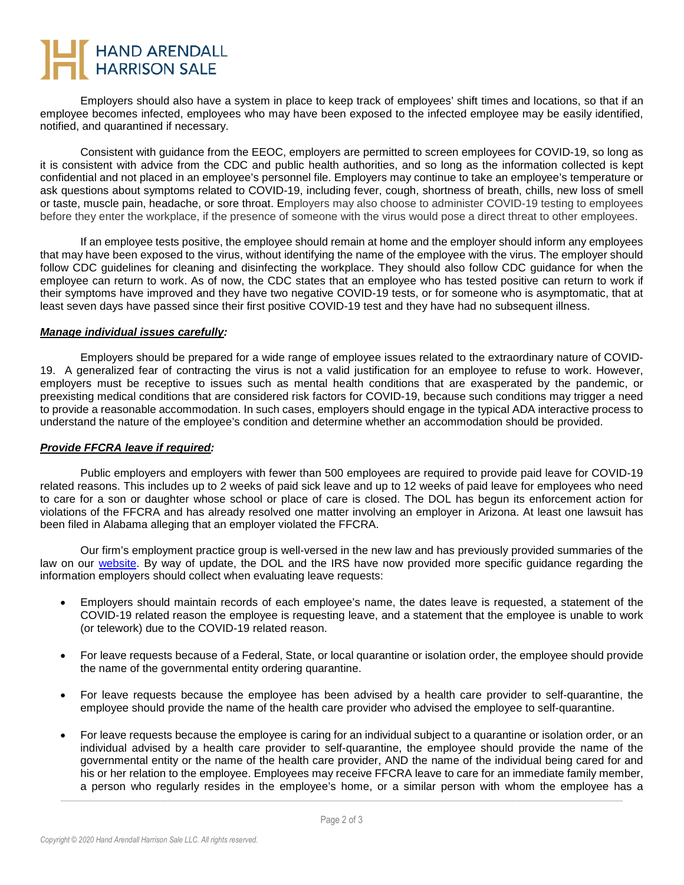# HAND ARENDALL<br>HARRISON SALE

Employers should also have a system in place to keep track of employees' shift times and locations, so that if an employee becomes infected, employees who may have been exposed to the infected employee may be easily identified, notified, and quarantined if necessary.

Consistent with guidance from the EEOC, employers are permitted to screen employees for COVID-19, so long as it is consistent with advice from the CDC and public health authorities, and so long as the information collected is kept confidential and not placed in an employee's personnel file. Employers may continue to take an employee's temperature or ask questions about symptoms related to COVID-19, including fever, cough, shortness of breath, chills, new loss of smell or taste, muscle pain, headache, or sore throat. Employers may also choose to administer COVID-19 testing to employees before they enter the workplace, if the presence of someone with the virus would pose a direct threat to other employees.

If an employee tests positive, the employee should remain at home and the employer should inform any employees that may have been exposed to the virus, without identifying the name of the employee with the virus. The employer should follow CDC guidelines for cleaning and disinfecting the workplace. They should also follow CDC guidance for when the employee can return to work. As of now, the CDC states that an employee who has tested positive can return to work if their symptoms have improved and they have two negative COVID-19 tests, or for someone who is asymptomatic, that at least seven days have passed since their first positive COVID-19 test and they have had no subsequent illness.

### *Manage individual issues carefully:*

Employers should be prepared for a wide range of employee issues related to the extraordinary nature of COVID-19. A generalized fear of contracting the virus is not a valid justification for an employee to refuse to work. However, employers must be receptive to issues such as mental health conditions that are exasperated by the pandemic, or preexisting medical conditions that are considered risk factors for COVID-19, because such conditions may trigger a need to provide a reasonable accommodation. In such cases, employers should engage in the typical ADA interactive process to understand the nature of the employee's condition and determine whether an accommodation should be provided.

### *Provide FFCRA leave if required:*

Public employers and employers with fewer than 500 employees are required to provide paid leave for COVID-19 related reasons. This includes up to 2 weeks of paid sick leave and up to 12 weeks of paid leave for employees who need to care for a son or daughter whose school or place of care is closed. The DOL has begun its enforcement action for violations of the FFCRA and has already resolved one matter involving an employer in Arizona. At least one lawsuit has been filed in Alabama alleging that an employer violated the FFCRA.

Our firm's employment practice group is well-versed in the new law and has previously provided summaries of the law on our [website](https://www.handfirm.com/covid-19-resources/). By way of update, the DOL and the IRS have now provided more specific guidance regarding the information employers should collect when evaluating leave requests:

- Employers should maintain records of each employee's name, the dates leave is requested, a statement of the COVID-19 related reason the employee is requesting leave, and a statement that the employee is unable to work (or telework) due to the COVID-19 related reason.
- For leave requests because of a Federal, State, or local quarantine or isolation order, the employee should provide the name of the governmental entity ordering quarantine.
- For leave requests because the employee has been advised by a health care provider to self-quarantine, the employee should provide the name of the health care provider who advised the employee to self-quarantine.
- For leave requests because the employee is caring for an individual subject to a quarantine or isolation order, or an individual advised by a health care provider to self-quarantine, the employee should provide the name of the governmental entity or the name of the health care provider, AND the name of the individual being cared for and his or her relation to the employee. Employees may receive FFCRA leave to care for an immediate family member, a person who regularly resides in the employee's home, or a similar person with whom the employee has a